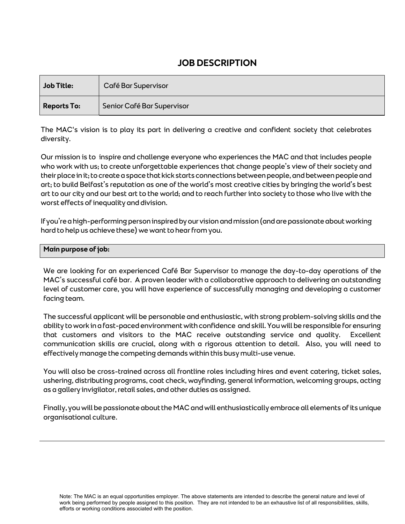# **JOB DESCRIPTION**

| Job Title:         | Café Bar Supervisor        |
|--------------------|----------------------------|
| <b>Reports To:</b> | Senior Café Bar Supervisor |

The MAC's vision is to play its part in delivering a creative and confident society that celebrates diversity.

Our mission is to inspire and challenge everyone who experiences the MAC and that includes people who work with us; to create unforgettable experiences that change people's view of their society and their place in it; to create a space that kick starts connections between people, and between people and art; to build Belfast's reputation as one of the world's most creative cities by bringing the world's best art to our city and our best art to the world; and to reach further into society to those who live with the worst effects of inequality and division.

If you're a high-performing person inspired by our vision and mission (and are passionate about working hard to help us achieve these) we want to hear from you.

#### **Main purpose of job:**

We are looking for an experienced Café Bar Supervisor to manage the day-to-day operations of the MAC's successful café bar. A proven leader with a collaborative approach to delivering an outstanding level of customer care, you will have experience of successfully managing and developing a customer facing team.

The successful applicant will be personable and enthusiastic, with strong problem-solving skills and the ability to work in a fast-paced environment with confidence and skill. You will be responsible for ensuring that customers and visitors to the MAC receive outstanding service and quality. Excellent communication skills are crucial, along with a rigorous attention to detail. Also, you will need to effectively manage the competing demands within this busy multi-use venue.

You will also be cross-trained across all frontline roles including hires and event catering, ticket sales, ushering, distributing programs, coat check, wayfinding, general information, welcoming groups, acting as a gallery invigilator, retail sales, and other duties as assigned.

Finally, you will be passionate about the MAC and will enthusiastically embrace all elements of its unique organisational culture.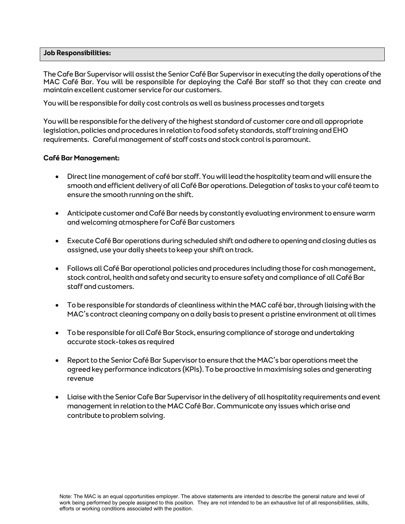#### **Job Responsibilities:**

The Cafe Bar Supervisorwill assist the Senior Café Bar Supervisor in executing the daily operations of the MAC Café Bar. You will be responsible for deploying the Café Bar staff so that they can create and maintain excellent customer service for our customers.

You will be responsible for daily cost controls as well as business processes and targets

You will be responsible for the delivery of the highest standard of customer care and all appropriate legislation, policies and procedures in relation to food safety standards, staff training and EHO requirements. Careful management of staff costs and stock control is paramount.

#### **Café Bar Management:**

- Direct line management of café bar staff. You will lead the hospitality team and will ensure the smooth and efficient delivery of all Café Bar operations. Delegation of tasks to your café team to ensure the smooth running on the shift.
- Anticipate customer and Café Bar needs by constantly evaluating environment to ensure warm and welcoming atmosphere for Café Bar customers
- Execute Café Bar operations during scheduled shift and adhere to opening and closing duties as assigned, use your daily sheets to keep your shift on track.
- Follows all Café Bar operational policies and procedures including those for cash management, stock control, health and safety and security to ensure safety and compliance of all Café Bar staff and customers.
- To be responsible for standards of cleanliness within the MAC café bar, through liaising with the MAC's contract cleaning company on a daily basis to present a pristine environment at all times
- To be responsible for all Café Bar Stock, ensuring compliance of storage and undertaking accurate stock-takes as required
- Report to the Senior Café Bar Supervisor to ensure that the MAC's bar operations meet the agreed key performance indicators (KPIs). To be proactive in maximising sales and generating revenue
- Liaise with the Senior Cafe Bar Supervisor in the delivery of all hospitality requirements and event management in relation to the MAC Café Bar. Communicate any issues which arise and contribute to problem solving.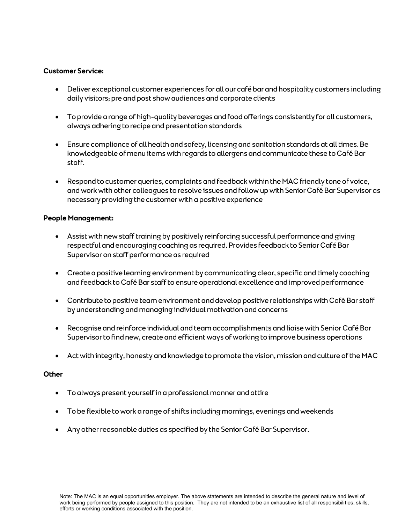#### **Customer Service:**

- Deliver exceptional customer experiences for all our café bar and hospitality customers including daily visitors; pre and post show audiences and corporate clients
- To provide a range of high-quality beverages and food offerings consistently for all customers, always adhering to recipe and presentation standards
- Ensure compliance of all health and safety, licensing and sanitation standards at all times. Be knowledgeable of menu items with regards to allergens and communicate these to Café Bar staff.
- Respond to customer queries, complaints and feedback within the MAC friendly tone of voice, and work with other colleagues to resolve issues and follow up with Senior Café Bar Supervisor as necessary providing the customer with a positive experience

#### **People Management:**

- Assist with new staff training by positively reinforcing successful performance and giving respectful and encouraging coaching as required. Provides feedback to Senior Café Bar Supervisor on staff performance as required
- Create a positive learning environment by communicating clear, specific and timely coaching and feedback to Café Bar staff to ensure operational excellence and improved performance
- Contribute to positive team environment and develop positive relationships with Café Bar staff by understanding and managing individual motivation and concerns
- Recognise and reinforce individual and team accomplishments and liaise with Senior Café Bar Supervisor to find new, create and efficient ways of working to improve business operations
- Act with integrity, honesty and knowledge to promote the vision, mission and culture of the MAC

#### **Other**

- To always present yourself in a professional manner and attire
- To be flexible to work a range of shifts including mornings, evenings and weekends
- Any other reasonable duties as specified by the Senior Café Bar Supervisor.